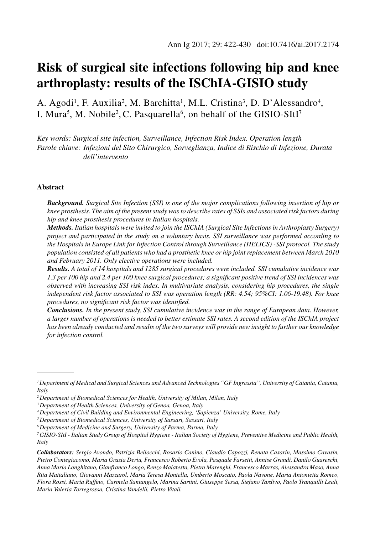# **Risk of surgical site infections following hip and knee arthroplasty: results of the ISChIA-GISIO study**

A. Agodi<sup>1</sup>, F. Auxilia<sup>2</sup>, M. Barchitta<sup>1</sup>, M.L. Cristina<sup>3</sup>, D. D'Alessandro<sup>4</sup>, I. Mura<sup>5</sup>, M. Nobile<sup>2</sup>, C. Pasquarella<sup>6</sup>, on behalf of the GISIO-SItI<sup>7</sup>

*Key words: Surgical site infection, Surveillance, Infection Risk Index, Operation length Parole chiave: Infezioni del Sito Chirurgico, Sorveglianza, Indice di Rischio di Infezione, Durata dell'intervento*

#### **Abstract**

*Background. Surgical Site Infection (SSI) is one of the major complications following insertion of hip or knee prosthesis. The aim of the present study was to describe rates of SSIs and associated risk factors during hip and knee prosthesis procedures in Italian hospitals.* 

*Methods. Italian hospitals were invited to join the ISChIA (Surgical Site Infections in Arthroplasty Surgery) project and participated in the study on a voluntary basis. SSI surveillance was performed according to the Hospitals in Europe Link for Infection Control through Surveillance (HELICS) -SSI protocol. The study population consisted of all patients who had a prosthetic knee or hip joint replacement between March 2010 and February 2011. Only elective operations were included.* 

*Results. A total of 14 hospitals and 1285 surgical procedures were included. SSI cumulative incidence was 1.3 per 100 hip and 2.4 per 100 knee surgical procedures; a significant positive trend of SSI incidences was observed with increasing SSI risk index. In multivariate analysis, considering hip procedures, the single independent risk factor associated to SSI was operation length (RR: 4.54; 95%CI: 1.06-19.48). For knee procedures, no significant risk factor was identified.* 

*Conclusions. In the present study, SSI cumulative incidence was in the range of European data. However, a larger number of operations is needed to better estimate SSI rates. A second edition of the ISChIA project has been already conducted and results of the two surveys will provide new insight to further our knowledge for infection control.* 

*<sup>1</sup> Department of Medical and Surgical Sciences and Advanced Technologies "GF Ingrassia", University of Catania, Catania, Italy*

*<sup>2</sup> Department of Biomedical Sciences for Health, University of Milan, Milan, Italy*

*<sup>3</sup> Department of Health Sciences, University of Genoa, Genoa, Italy*

*<sup>4</sup> Department of Civil Building and Environmental Engineering, 'Sapienza' University, Rome, Italy*

*<sup>5</sup> Department of Biomedical Sciences, University of Sassari, Sassari, Italy*

*<sup>6</sup> Department of Medicine and Surgery, University of Parma, Parma, Italy*

*<sup>7</sup> GISIO-SItI - Italian Study Group of Hospital Hygiene - Italian Society of Hygiene, Preventive Medicine and Public Health, Italy*

*Collaborators: Sergio Avondo, Patrizia Bellocchi, Rosario Canino, Claudio Capozzi, Renata Casarin, Massimo Cavasin, Pietro Contegiacomo, Maria Grazia Deriu, Francesco Roberto Evola, Pasquale Farsetti, Annise Grandi, Danilo Guareschi, Anna Maria Longhitano, Gianfranco Longo, Renzo Malatesta, Pietro Marenghi, Francesco Marras, Alessandra Maso, Anna Rita Mattaliano, Giovanni Mazzarol, Maria Teresa Montella, Umberto Moscato, Paola Navone, Maria Antonietta Romeo, Flora Rossi, Maria Ruffino, Carmela Santangelo, Marina Sartini, Giuseppe Sessa, Stefano Tardivo, Paolo Tranquilli Leali, Maria Valeria Torregrossa, Cristina Vandelli, Pietro Vitali.*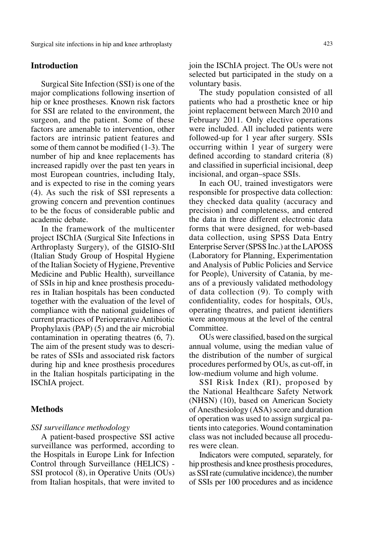### **Introduction**

Surgical Site Infection (SSI) is one of the major complications following insertion of hip or knee prostheses. Known risk factors for SSI are related to the environment, the surgeon, and the patient. Some of these factors are amenable to intervention, other factors are intrinsic patient features and some of them cannot be modified (1-3). The number of hip and knee replacements has increased rapidly over the past ten years in most European countries, including Italy, and is expected to rise in the coming years (4). As such the risk of SSI represents a growing concern and prevention continues to be the focus of considerable public and academic debate.

In the framework of the multicenter project ISChIA (Surgical Site Infections in Arthroplasty Surgery), of the GISIO-SItI (Italian Study Group of Hospital Hygiene of the Italian Society of Hygiene, Preventive Medicine and Public Health), surveillance of SSIs in hip and knee prosthesis procedures in Italian hospitals has been conducted together with the evaluation of the level of compliance with the national guidelines of current practices of Perioperative Antibiotic Prophylaxis (PAP) (5) and the air microbial contamination in operating theatres (6, 7). The aim of the present study was to describe rates of SSIs and associated risk factors during hip and knee prosthesis procedures in the Italian hospitals participating in the ISChIA project.

### **Methods**

#### *SSI surveillance methodology*

A patient-based prospective SSI active surveillance was performed, according to the Hospitals in Europe Link for Infection Control through Surveillance (HELICS) - SSI protocol (8), in Operative Units (OUs) from Italian hospitals, that were invited to

join the ISChIA project. The OUs were not selected but participated in the study on a voluntary basis.

The study population consisted of all patients who had a prosthetic knee or hip joint replacement between March 2010 and February 2011. Only elective operations were included. All included patients were followed-up for 1 year after surgery. SSIs occurring within 1 year of surgery were defined according to standard criteria (8) and classified in superficial incisional, deep incisional, and organ–space SSIs.

In each OU, trained investigators were responsible for prospective data collection: they checked data quality (accuracy and precision) and completeness, and entered the data in three different electronic data forms that were designed, for web-based data collection, using SPSS Data Entry Enterprise Server (SPSS Inc.) at the LAPOSS (Laboratory for Planning, Experimentation and Analysis of Public Policies and Service for People), University of Catania, by means of a previously validated methodology of data collection (9). To comply with confidentiality, codes for hospitals, OUs, operating theatres, and patient identifiers were anonymous at the level of the central Committee.

OUs were classified, based on the surgical annual volume, using the median value of the distribution of the number of surgical procedures performed by OUs, as cut-off, in low-medium volume and high volume.

SSI Risk Index (RI), proposed by the National Healthcare Safety Network (NHSN) (10), based on American Society of Anesthesiology (ASA) score and duration of operation was used to assign surgical patients into categories. Wound contamination class was not included because all procedures were clean.

Indicators were computed, separately, for hip prosthesis and knee prosthesis procedures, as SSI rate (cumulative incidence), the number of SSIs per 100 procedures and as incidence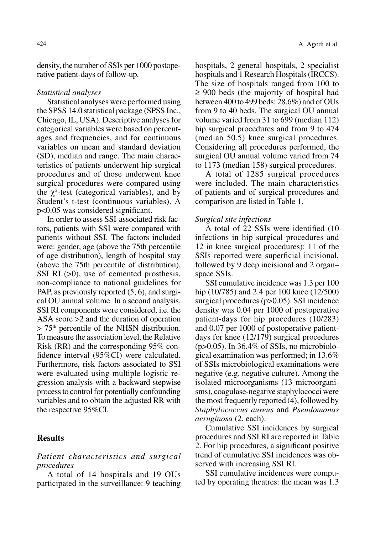density, the number of SSIs per 1000 postoperative patient-days of follow-up.

#### *Statistical analyses*

Statistical analyses were performed using the SPSS 14.0 statistical package (SPSS Inc., Chicago, IL, USA). Descriptive analyses for categorical variables were based on percentages and frequencies, and for continuous variables on mean and standard deviation (SD), median and range. The main characteristics of patients underwent hip surgical procedures and of those underwent knee surgical procedures were compared using the  $\chi^2$ -test (categorical variables), and by Student's t-test (continuous variables). A p<0.05 was considered significant.

In order to assess SSI-associated risk factors, patients with SSI were compared with patients without SSI. The factors included were: gender, age (above the 75th percentile of age distribution), length of hospital stay (above the 75th percentile of distribution), SSI RI ( $>0$ ), use of cemented prosthesis, non-compliance to national guidelines for PAP, as previously reported (5, 6), and surgical OU annual volume. In a second analysis, SSI RI components were considered, i.e. the ASA score >2 and the duration of operation  $> 75<sup>th</sup>$  percentile of the NHSN distribution. To measure the association level, the Relative Risk (RR) and the corresponding 95% confidence interval (95%CI) were calculated. Furthermore, risk factors associated to SSI were evaluated using multiple logistic regression analysis with a backward stepwise process to control for potentially confounding variables and to obtain the adjusted RR with the respective 95%CI.

## **Results**

### *Patient characteristics and surgical procedures*

A total of 14 hospitals and 19 OUs participated in the surveillance: 9 teaching hospitals, 2 general hospitals, 2 specialist hospitals and 1 Research Hospitals (IRCCS). The size of hospitals ranged from 100 to ≥ 900 beds (the majority of hospital had between 400 to 499 beds: 28.6%) and of OUs from 9 to 40 beds. The surgical OU annual volume varied from 31 to 699 (median 112) hip surgical procedures and from 9 to 474 (median 50.5) knee surgical procedures. Considering all procedures performed, the surgical OU annual volume varied from 74 to 1173 (median 158) surgical procedures.

A total of 1285 surgical procedures were included. The main characteristics of patients and of surgical procedures and comparison are listed in Table 1.

#### *Surgical site infections*

A total of 22 SSIs were identified (10 infections in hip surgical procedures and 12 in knee surgical procedures): 11 of the SSIs reported were superficial incisional, followed by 9 deep incisional and 2 organ– space SSIs.

SSI cumulative incidence was 1.3 per 100 hip (10/785) and 2.4 per 100 knee (12/500) surgical procedures (p>0.05). SSI incidence density was 0.04 per 1000 of postoperative patient-days for hip procedures (10/283) and 0.07 per 1000 of postoperative patientdays for knee (12/179) surgical procedures  $(p>0.05)$ . In 36.4% of SSIs, no microbiological examination was performed; in 13.6% of SSIs microbiological examinations were negative (e.g. negative culture). Among the isolated microorganisms (13 microorganisms), coagulase-negative staphylococci were the most frequently reported (4), followed by *Staphylococcus aureus* and *Pseudomonas aeruginosa* (2, each).

Cumulative SSI incidences by surgical procedures and SSI RI are reported in Table 2. For hip procedures, a significant positive trend of cumulative SSI incidences was observed with increasing SSI RI.

SSI cumulative incidences were computed by operating theatres: the mean was 1.3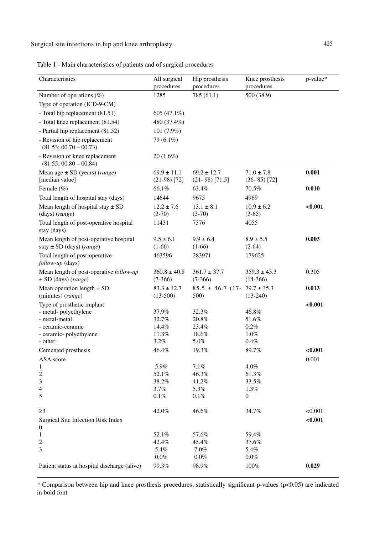Surgical site infections in hip and knee arthroplasty 425

Table 1 - Main characteristics of patients and of surgical procedures

| Characteristics                                            | All surgical<br>procedures | Hip prosthesis<br>procedures           | Knee prosthesis<br>procedures | p-value*     |
|------------------------------------------------------------|----------------------------|----------------------------------------|-------------------------------|--------------|
| Number of operations $(\%)$                                | 1285                       | 785 (61.1)                             | 500 (38.9)                    |              |
| Type of operation (ICD-9-CM)                               |                            |                                        |                               |              |
| - Total hip replacement (81.51)                            | 605 (47.1%)                |                                        |                               |              |
| - Total knee replacement (81.54)                           | 480 (37.4%)                |                                        |                               |              |
| - Partial hip replacement (81.52)                          | $101(7.9\%)$               |                                        |                               |              |
| - Revision of hip replacement                              | 79 (6.1%)                  |                                        |                               |              |
| $(81.53; 00.70 - 00.73)$                                   |                            |                                        |                               |              |
| - Revision of knee replacement<br>$(81.55; 00.80 - 00.84)$ | $20(1.6\%)$                |                                        |                               |              |
| Mean age $\pm$ SD (years) (range)                          | $69.9 \pm 11.1$            | $69.2 \pm 12.7$                        | $71.0 \pm 7.8$                | 0.001        |
| [median value]                                             | $(21-98)$ [72]             | $(21-98)$ [71.5]                       | $(36-85)$ [72]                |              |
| Female (%)                                                 | 66.1%                      | 63.4%                                  | 70.5%                         | 0.010        |
| Total length of hospital stay (days)                       | 14644                      | 9675                                   | 4969                          |              |
| Mean length of hospital stay $\pm$ SD                      | $12.2 \pm 7.6$             | $13.1 \pm 8.1$                         | $10.9 \pm 6.2$                | $<\!\!0.001$ |
| (days) (range)                                             | $(3-70)$                   | $(3-70)$                               | $(3-65)$                      |              |
| Total length of post-operative hospital<br>stay (days)     | 11431                      | 7376                                   | 4055                          |              |
| Mean length of post-operative hospital                     | $9.5 \pm 6.1$              | $9.9 \pm 6.4$                          | $8.9 \pm 5.5$                 | 0.003        |
| stay $\pm$ SD (days) (range)                               | $(1-66)$                   | $(1-66)$                               | $(2-64)$                      |              |
| Total length of post-operative<br>follow-up (days)         | 463596                     | 283971                                 | 179625                        |              |
| Mean length of post-operative follow-up                    | $360.8 \pm 40.8$           | $361.7 \pm 37.7$                       | $359.3 \pm 45.3$              | 0.305        |
| $\pm$ SD (days) (range)                                    | $(7-366)$                  | $(7-366)$                              | $(14-366)$                    |              |
| Mean operation length $\pm$ SD                             | $83.3 \pm 42.7$            | $85.5 \pm 46.7$ (17- 79.7 $\pm 35.3$ ) |                               | 0.013        |
| (minutes) (range)                                          | $(13-500)$                 | 500)                                   | $(13-240)$                    |              |
| Type of prosthetic implant                                 |                            |                                        |                               | $<\!\!0.001$ |
| - metal-polyethylene                                       | 37.9%                      | 32.3%                                  | 46.8%                         |              |
| - metal-metal                                              | 32.7%                      | 20.8%                                  | 51.6%                         |              |
| - ceramic-ceramic                                          | 14.4%                      | 23.4%                                  | $0.2\%$                       |              |
| - ceramic- polyethylene                                    | 11.8%                      | 18.6%                                  | 1.0%                          |              |
| - other                                                    | $3.2\%$                    | 5.0%                                   | 0.4%                          |              |
| Cemented prosthesis                                        | 46.4%                      | 19.3%                                  | 89.7%                         | < 0.001      |
| ASA score                                                  |                            |                                        |                               | 0.001        |
| 1                                                          | 5.9%                       | 7.1%                                   | $4.0\%$                       |              |
| 2                                                          | 52.1%                      | 46.3%                                  | 61.3%                         |              |
| 3                                                          | 38.2%                      | 41.2%                                  | 33.5%                         |              |
| 4                                                          | 3.7%                       | 5.3%                                   | 1.3%                          |              |
| 5                                                          | 0.1%                       | 0.1%                                   | 0                             |              |
| $\geq$ 3                                                   | 42.0%                      | 46.6%                                  | 34.7%                         | < 0.001      |
| Surgical Site Infection Risk Index<br>0                    |                            |                                        |                               | $0.001$      |
| $\mathbf{1}$                                               | 52.1%                      | 57.6%                                  | 59.4%                         |              |
| 2                                                          | 42.4%                      | 45.4%                                  | 37.6%                         |              |
| 3                                                          | 5.4%                       | $7.0\%$                                | 5.4%                          |              |
|                                                            | $0.0\%$                    | $0.0\%$                                | $0.0\%$                       |              |
| Patient status at hospital discharge (alive)               | 99.3%                      | 98.9%                                  | 100%                          | 0.029        |

*\** Comparison between hip and knee prosthesis procedures; statistically significant p-values (p<0.05) are indicated in bold font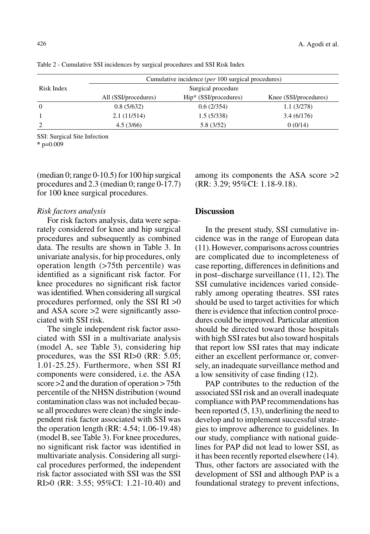|            | Cumulative incidence ( <i>per</i> 100 surgical procedures) |                       |                       |  |  |  |
|------------|------------------------------------------------------------|-----------------------|-----------------------|--|--|--|
| Risk Index | Surgical procedure                                         |                       |                       |  |  |  |
|            | All (SSI/procedures)                                       | Hip* (SSI/procedures) | Knee (SSI/procedures) |  |  |  |
| $\Omega$   | 0.8(5/632)                                                 | 0.6(2/354)            | 1.1(3/278)            |  |  |  |
|            | 2.1(11/514)                                                | 1.5(5/338)            | 3.4(6/176)            |  |  |  |
|            | 4.5(3/66)                                                  | 5.8 (3/52)            | 0(0/14)               |  |  |  |

Table 2 - Cumulative SSI incidences by surgical procedures and SSI Risk Index

SSI: Surgical Site Infection

**\*** p=0.009

(median 0; range 0-10.5) for 100 hip surgical procedures and 2.3 (median 0; range 0-17.7) for 100 knee surgical procedures.

#### *Risk factors analysis*

For risk factors analysis, data were separately considered for knee and hip surgical procedures and subsequently as combined data. The results are shown in Table 3. In univariate analysis, for hip procedures, only operation length (>75th percentile) was identified as a significant risk factor. For knee procedures no significant risk factor was identified. When considering all surgical procedures performed, only the SSI RI >0 and ASA score >2 were significantly associated with SSI risk.

The single independent risk factor associated with SSI in a multivariate analysis (model A, see Table 3), considering hip procedures, was the SSI RI>0 (RR: 5.05; 1.01-25.25). Furthermore, when SSI RI components were considered, i.e. the ASA score >2 and the duration of operation > 75th percentile of the NHSN distribution (wound contamination class was not included because all procedures were clean) the single independent risk factor associated with SSI was the operation length (RR: 4.54; 1.06-19.48) (model B, see Table 3). For knee procedures, no significant risk factor was identified in multivariate analysis. Considering all surgical procedures performed, the independent risk factor associated with SSI was the SSI RI>0 (RR: 3.55; 95%CI: 1.21-10.40) and among its components the ASA score >2 (RR: 3.29; 95%CI: 1.18-9.18).

### **Discussion**

In the present study, SSI cumulative incidence was in the range of European data (11).However, comparisons across countries are complicated due to incompleteness of case reporting, differences in definitions and in post–discharge surveillance (11, 12).The SSI cumulative incidences varied considerably among operating theatres. SSI rates should be used to target activities for which there is evidence that infection control procedures could be improved. Particular attention should be directed toward those hospitals with high SSI rates but also toward hospitals that report low SSI rates that may indicate either an excellent performance or, conversely, an inadequate surveillance method and a low sensitivity of case finding (12).

PAP contributes to the reduction of the associated SSI risk and an overall inadequate compliance with PAP recommendations has been reported (5, 13), underlining the need to develop and to implement successful strategies to improve adherence to guidelines. In our study, compliance with national guidelines for PAP did not lead to lower SSI, as it has been recently reported elsewhere (14). Thus, other factors are associated with the development of SSI and although PAP is a foundational strategy to prevent infections,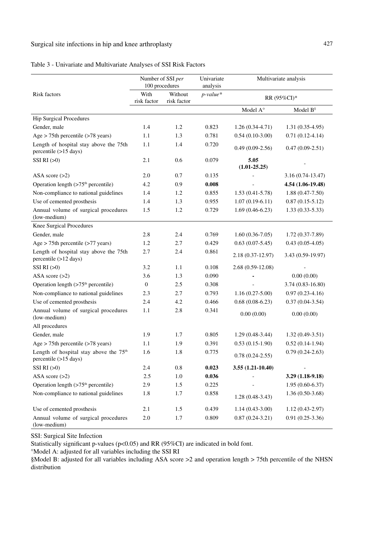# Surgical site infections in hip and knee arthroplasty 427

| Table 3 - Univariate and Multivariate Analyses of SSI Risk Factors |  |
|--------------------------------------------------------------------|--|
|--------------------------------------------------------------------|--|

|                                                                             | Number of SSI per<br>100 procedures |                        | Univariate<br>analysis | Multivariate analysis    |                      |
|-----------------------------------------------------------------------------|-------------------------------------|------------------------|------------------------|--------------------------|----------------------|
| <b>Risk factors</b>                                                         | With<br>risk factor                 | Without<br>risk factor | $p$ -value*            |                          | RR (95%CI)*          |
|                                                                             |                                     |                        |                        | Model $A^{\circ}$        | Model $B^s$          |
| <b>Hip Surgical Procedures</b>                                              |                                     |                        |                        |                          |                      |
| Gender, male                                                                | 1.4                                 | 1.2                    | 0.823                  | $1.26(0.34-4.71)$        | $1.31(0.35-4.95)$    |
| Age $> 75$ th percentile ( $> 78$ years)                                    | 1.1                                 | 1.3                    | 0.781                  | $0.54(0.10-3.00)$        | $0.71(0.12-4.14)$    |
| Length of hospital stay above the 75th<br>percentile (>15 days)             | 1.1                                 | 1.4                    | 0.720                  | $0.49(0.09-2.56)$        | $0.47(0.09-2.51)$    |
| SSI RI (>0)                                                                 | 2.1                                 | 0.6                    | 0.079                  | 5.05<br>$(1.01 - 25.25)$ |                      |
| ASA score $(>2)$                                                            | 2.0                                 | 0.7                    | 0.135                  |                          | $3.16(0.74-13.47)$   |
| Operation length $(>75th$ percentile)                                       | 4.2                                 | 0.9                    | 0.008                  |                          | 4.54 (1.06-19.48)    |
| Non-compliance to national guidelines                                       | 1.4                                 | 1.2                    | 0.855                  | $1.53(0.41 - 5.78)$      | $1.88(0.47-7.50)$    |
| Use of cemented prosthesis                                                  | 1.4                                 | 1.3                    | 0.955                  | $1.07(0.19-6.11)$        | $0.87(0.15-5.12)$    |
| Annual volume of surgical procedures<br>(low-medium)                        | 1.5                                 | 1.2                    | 0.729                  | $1.69(0.46-6.23)$        | $1.33(0.33-5.33)$    |
| Knee Surgical Procedures                                                    |                                     |                        |                        |                          |                      |
| Gender, male                                                                | 2.8                                 | 2.4                    | 0.769                  | $1.60(0.36-7.05)$        | $1.72(0.37-7.89)$    |
| Age $> 75$ th percentile ( $> 77$ years)                                    | 1.2                                 | 2.7                    | 0.429                  | $0.63(0.07-5.45)$        | $0.43(0.05-4.05)$    |
| Length of hospital stay above the 75th<br>percentile (>12 days)             | 2.7                                 | 2.4                    | 0.861                  | 2.18 (0.37-12.97)        | 3.43 (0.59-19.97)    |
| SSI RI (>0)                                                                 | 3.2                                 | 1.1                    | 0.108                  | 2.68 (0.59-12.08)        |                      |
| ASA score $(>2)$                                                            | 3.6                                 | 1.3                    | 0.090                  |                          | 0.00(0.00)           |
| Operation length $(>75th$ percentile)                                       | $\overline{0}$                      | 2.5                    | 0.308                  |                          | $3.74(0.83 - 16.80)$ |
| Non-compliance to national guidelines                                       | 2.3                                 | 2.7                    | 0.793                  | $1.16(0.27-5.00)$        | $0.97(0.23-4.16)$    |
| Use of cemented prosthesis                                                  | 2.4                                 | 4.2                    | 0.466                  | $0.68(0.08-6.23)$        | $0.37(0.04-3.54)$    |
| Annual volume of surgical procedures<br>(low-medium)                        | 1.1                                 | 2.8                    | 0.341                  | 0.00(0.00)               | 0.00(0.00)           |
| All procedures                                                              |                                     |                        |                        |                          |                      |
| Gender, male                                                                | 1.9                                 | 1.7                    | 0.805                  | $1.29(0.48-3.44)$        | $1.32(0.49-3.51)$    |
| $Age > 75th$ percentile ( $>78$ years)                                      | 1.1                                 | 1.9                    | 0.391                  | $0.53(0.15-1.90)$        | $0.52(0.14-1.94)$    |
| Length of hospital stay above the 75 <sup>th</sup><br>percentile (>15 days) | 1.6                                 | 1.8                    | 0.775                  | $0.78(0.24-2.55)$        | $0.79(0.24-2.63)$    |
| SSI RI (>0)                                                                 | 2.4                                 | 0.8                    | 0.023                  | $3.55(1.21-10.40)$       |                      |
| ASA score $(>2)$                                                            | 2.5                                 | 1.0                    | 0.036                  |                          | 3.29 (1.18-9.18)     |
| Operation length $(>75th$ percentile)                                       | 2.9                                 | 1.5                    | 0.225                  |                          | $1.95(0.60-6.37)$    |
| Non-compliance to national guidelines                                       | 1.8                                 | 1.7                    | 0.858                  | $1.28(0.48-3.43)$        | $1.36(0.50-3.68)$    |
| Use of cemented prosthesis                                                  | 2.1                                 | 1.5                    | 0.439                  | $1.14(0.43-3.00)$        | $1.12(0.43-2.97)$    |
| Annual volume of surgical procedures<br>(low-medium)                        | 2.0                                 | 1.7                    | 0.809                  | $0.87(0.24 - 3.21)$      | $0.91(0.25-3.36)$    |

SSI: Surgical Site Infection

Statistically significant p-values (p<0.05) and RR (95%CI) are indicated in bold font.

°Model A: adjusted for all variables including the SSI RI

§Model B: adjusted for all variables including ASA score >2 and operation length > 75th percentile of the NHSN distribution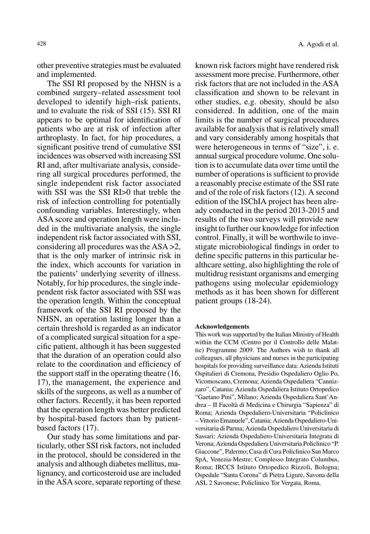other preventive strategies must be evaluated and implemented.

The SSI RI proposed by the NHSN is a combined surgery–related assessment tool developed to identify high–risk patients, and to evaluate the risk of SSI (15). SSI RI appears to be optimal for identification of patients who are at risk of infection after arthroplasty. In fact, for hip procedures, a significant positive trend of cumulative SSI incidences was observed with increasing SSI RI and, after multivariate analysis, considering all surgical procedures performed, the single independent risk factor associated with SSI was the SSI RI>0 that treble the risk of infection controlling for potentially confounding variables. Interestingly, when ASA score and operation length were included in the multivariate analysis, the single independent risk factor associated with SSI, considering all procedures was the ASA >2, that is the only marker of intrinsic risk in the index, which accounts for variation in the patients' underlying severity of illness. Notably, for hip procedures, the single independent risk factor associated with SSI was the operation length. Within the conceptual framework of the SSI RI proposed by the NHSN, an operation lasting longer than a certain threshold is regarded as an indicator of a complicated surgical situation for a specific patient, although it has been suggested that the duration of an operation could also relate to the coordination and efficiency of the support staff in the operating theatre (16, 17), the management, the experience and skills of the surgeons, as well as a number of other factors. Recently, it has been reported that the operation length was better predicted by hospital-based factors than by patientbased factors (17).

Our study has some limitations and particularly, other SSI risk factors, not included in the protocol, should be considered in the analysis and although diabetes mellitus, malignancy, and corticosteroid use are included in the ASA score, separate reporting of these

known risk factors might have rendered risk assessment more precise. Furthermore, other risk factors that are not included in the ASA classification and shown to be relevant in other studies, e.g. obesity, should be also considered. In addition, one of the main limits is the number of surgical procedures available for analysis that is relatively small and vary considerably among hospitals that were heterogeneous in terms of "size", i. e. annual surgical procedure volume. One solution is to accumulate data over time until the number of operations is sufficient to provide a reasonably precise estimate of the SSI rate and of the role of risk factors (12). A second edition of the ISChIA project has been already conducted in the period 2013-2015 and results of the two surveys will provide new insight to further our knowledge for infection control. Finally, it will be worthwile to investigate microbiological findings in order to define specific patterns in this particular healthcare setting, also highlighting the role of multidrug resistant organisms and emerging pathogens using molecular epidemiology methods as it has been shown for different patient groups (18-24).

#### **Acknowledgements**

This work was supported by the Italian Ministry of Health within the CCM (Centro per il Controllo delle Malattie) Programme 2009. The Authors wish to thank all colleagues, all physicians and nurses in the participating hospitals for providing surveillance data: Azienda Istituti Ospitalieri di Cremona, Presidio Ospedaliero Oglio Po, Vicomoscano, Cremona; Azienda Ospedaliera "Cannizzaro", Catania; Azienda Ospedaliera Istituto Ortopedico "Gaetano Pini", Milano; Azienda Ospedaliera Sant'Andrea – II Facoltà di Medicina e Chirurgia "Sapienza" di Roma; Azienda Ospedaliero-Universitaria "Policlinico – Vittorio Emanuele", Catania; Azienda Ospedaliero-Universitaria di Parma; Azienda Ospedaliero Universitaria di Sassari; Azienda Ospedaliero-Universitaria Integrata di Verona; Azienda Ospedaliera Universitaria Policlinico "P. Giaccone", Palermo; Casa di Cura Policlinico San Marco SpA, Venezia-Mestre; Complesso Integrato Columbus, Roma; IRCCS Istituto Ortopedico Rizzoli, Bologna; Ospedale "Santa Corona" di Pietra Ligure, Savona della ASL 2 Savonese; Policlinico Tor Vergata, Roma.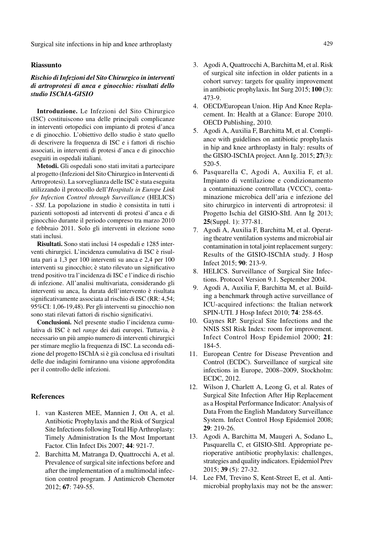Surgical site infections in hip and knee arthroplasty **429** and the state of the state of the state of the state of the state of the state of the state of the state of the state of the state of the state of the state of th

#### **Riassunto**

#### *Rischio di Infezioni del Sito Chirurgico in interventi di artroprotesi di anca e ginocchio: risultati dello studio ISChIA-GISIO*

**Introduzione.** Le Infezioni del Sito Chirurgico (ISC) costituiscono una delle principali complicanze in interventi ortopedici con impianto di protesi d'anca e di ginocchio. L'obiettivo dello studio è stato quello di descrivere la frequenza di ISC e i fattori di rischio associati, in interventi di protesi d'anca e di ginocchio eseguiti in ospedali italiani.

**Metodi.** Gli ospedali sono stati invitati a partecipare al progetto (Infezioni del Sito Chirurgico in Interventi di Artroprotesi). La sorveglianza delle ISC è stata eseguita utilizzando il protocollo dell'*Hospitals in Europe Link for Infection Control through Surveillance* (HELICS) - *SSI*. La popolazione in studio è consistita in tutti i pazienti sottoposti ad interventi di protesi d'anca e di ginocchio durante il periodo compreso tra marzo 2010 e febbraio 2011. Solo gli interventi in elezione sono stati inclusi.

**Risultati.** Sono stati inclusi 14 ospedali e 1285 interventi chirurgici. L'incidenza cumulativa di ISC è risultata pari a 1,3 per 100 interventi su anca e 2,4 per 100 interventi su ginocchio; è stato rilevato un significativo trend positivo tra l'incidenza di ISC e l'indice di rischio di infezione. All'analisi multivariata, considerando gli interventi su anca, la durata dell'intervento è risultata significativamente associata al rischio di ISC (RR: 4,54; 95%CI: 1,06-19,48). Per gli interventi su ginocchio non sono stati rilevati fattori di rischio significativi.

**Conclusioni.** Nel presente studio l'incidenza cumulativa di ISC è nel *range* dei dati europei. Tuttavia, è necessario un più ampio numero di interventi chirurgici per stimare meglio la frequenza di ISC. La seconda edizione del progetto ISChIA si è già conclusa ed i risultati delle due indagini forniranno una visione approfondita per il controllo delle infezioni.

#### **References**

- 1. van Kasteren MEE, Mannien J, Ott A, et al. Antibiotic Prophylaxis and the Risk of Surgical Site Infections following Total Hip Arthroplasty: Timely Administration Is the Most Important Factor. Clin Infect Dis 2007; **44**: 921-7.
- 2. Barchitta M, Matranga D, Quattrocchi A, et al. Prevalence of surgical site infections before and after the implementation of a multimodal infection control program. J Antimicrob Chemoter 2012; **67**: 749-55.
- 3. Agodi A, Quattrocchi A, Barchitta M, et al. Risk of surgical site infection in older patients in a cohort survey: targets for quality improvement in antibiotic prophylaxis. Int Surg 2015; **100** (3): 473-9.
- 4. OECD/European Union. Hip And Knee Replacement. In: Health at a Glance: Europe 2010. OECD Publishing, 2010.
- 5. Agodi A, Auxilia F, Barchitta M, et al. Compliance with guidelines on antibiotic prophylaxis in hip and knee arthroplasty in Italy: results of the GISIO-ISChIA project. Ann Ig. 2015; **27**(3): 520-5.
- 6. Pasquarella C, Agodi A, Auxilia F, et al. Impianto di ventilazione e condizionamento a contaminazione controllata (VCCC), contaminazione microbica dell'aria e infezione del sito chirurgico in interventi di artroprotesi: il Progetto Ischia del GISIO-SItI. Ann Ig 2013; **25**(Suppl. 1): 377-81.
- 7. Agodi A, Auxilia F, Barchitta M, et al. Operating theatre ventilation systems and microbial air contamination in total joint replacement surgery: Results of the GISIO-ISChIA study. J Hosp Infect 2015; **90**: 213-9.
- 8. HELICS. Surveillance of Surgical Site Infections. Protocol Version 9.1. September 2004.
- 9. Agodi A, Auxilia F, Barchitta M, et al. Building a benchmark through active surveillance of ICU-acquired infections: the Italian network SPIN-UTI. J Hosp Infect 2010; **74**: 258-65.
- 10. Gaynes RP. Surgical Site Infections and the NNIS SSI Risk Index: room for improvement. Infect Control Hosp Epidemiol 2000; **21**: 184-5.
- 11. European Centre for Disease Prevention and Control (ECDC). Surveillance of surgical site infections in Europe, 2008–2009, Stockholm: ECDC, 2012.
- 12. Wilson J, Charlett A, Leong G, et al. Rates of Surgical Site Infection After Hip Replacement as a Hospital Performance Indicator: Analysis of Data From the English Mandatory Surveillance System. Infect Control Hosp Epidemiol 2008; **29**: 219-26.
- 13. Agodi A, Barchitta M, Maugeri A, Sodano L, Pasquarella C, et GISIO-SItI. Appropriate perioperative antibiotic prophylaxis: challenges, strategies and quality indicators. Epidemiol Prev 2015; **39** (5): 27-32.
- 14. Lee FM, Trevino S, Kent-Street E, et al. Antimicrobial prophylaxis may not be the answer: